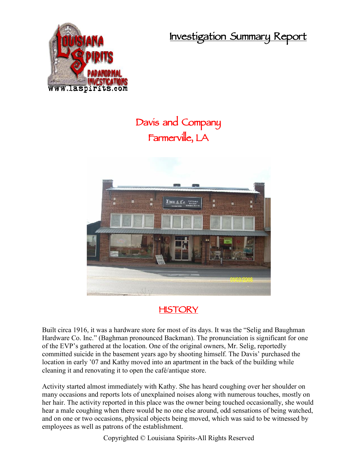**Investigation Summary Report**



## **Davis and Company Farmerville, LA**



## **HISTORY**

Built circa 1916, it was a hardware store for most of its days. It was the "Selig and Baughman Hardware Co. Inc." (Baghman pronounced Backman). The pronunciation is significant for one of the EVP's gathered at the location. One of the original owners, Mr. Selig, reportedly committed suicide in the basement years ago by shooting himself. The Davis' purchased the location in early '07 and Kathy moved into an apartment in the back of the building while cleaning it and renovating it to open the café/antique store.

Activity started almost immediately with Kathy. She has heard coughing over her shoulder on many occasions and reports lots of unexplained noises along with numerous touches, mostly on her hair. The activity reported in this place was the owner being touched occasionally, she would hear a male coughing when there would be no one else around, odd sensations of being watched, and on one or two occasions, physical objects being moved, which was said to be witnessed by employees as well as patrons of the establishment.

Copyrighted © Louisiana Spirits-All Rights Reserved